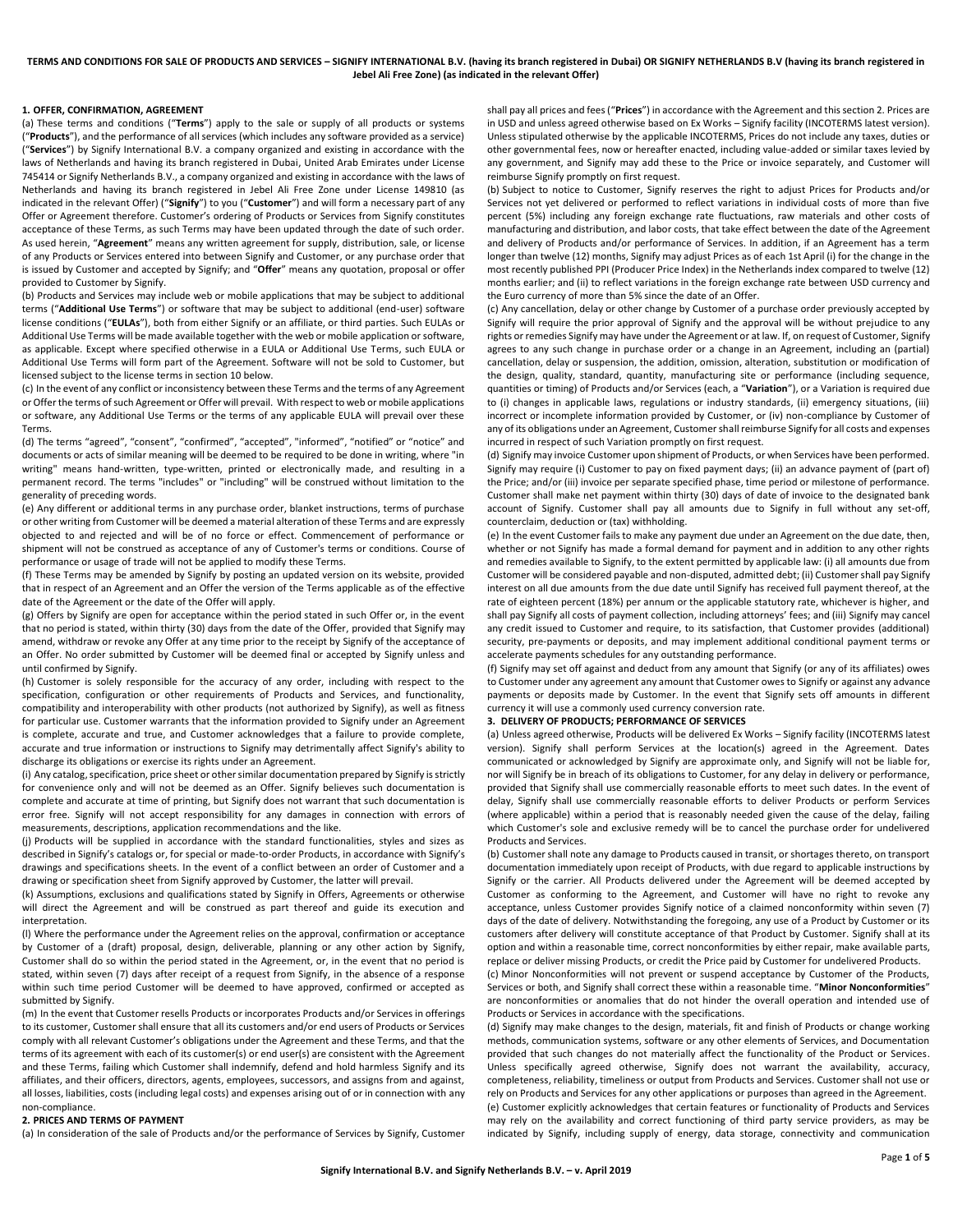### **1. OFFER, CONFIRMATION, AGREEMENT**

(a) These terms and conditions ("**Terms**") apply to the sale or supply of all products or systems ("**Products**"), and the performance of all services (which includes any software provided as a service) ("**Services**") by Signify International B.V. a company organized and existing in accordance with the laws of Netherlands and having its branch registered in Dubai, United Arab Emirates under License 745414 or Signify Netherlands B.V., a company organized and existing in accordance with the laws of Netherlands and having its branch registered in Jebel Ali Free Zone under License 149810 (as indicated in the relevant Offer) ("**Signify**") to you ("**Customer**") and will form a necessary part of any Offer or Agreement therefore. Customer's ordering of Products or Services from Signify constitutes acceptance of these Terms, as such Terms may have been updated through the date of such order. As used herein, "**Agreement**" means any written agreement for supply, distribution, sale, or license of any Products or Services entered into between Signify and Customer, or any purchase order that is issued by Customer and accepted by Signify; and "**Offer**" means any quotation, proposal or offer provided to Customer by Signify.

(b) Products and Services may include web or mobile applications that may be subject to additional terms ("**Additional Use Terms**") or software that may be subject to additional (end-user) software license conditions ("**EULAs**"), both from either Signify or an affiliate, or third parties. Such EULAs or Additional Use Terms will be made available together with the web or mobile application or software, as applicable. Except where specified otherwise in a EULA or Additional Use Terms, such EULA or Additional Use Terms will form part of the Agreement. Software will not be sold to Customer, but licensed subject to the license terms in section 10 below.

(c) In the event of any conflict or inconsistency between these Terms and the terms of any Agreement or Offer the terms of such Agreement or Offer will prevail. With respect to web or mobile applications or software, any Additional Use Terms or the terms of any applicable EULA will prevail over these Terms.

(d) The terms "agreed", "consent", "confirmed", "accepted", "informed", "notified" or "notice" and documents or acts of similar meaning will be deemed to be required to be done in writing, where "in writing" means hand-written, type-written, printed or electronically made, and resulting in a permanent record. The terms "includes" or "including" will be construed without limitation to the generality of preceding words.

(e) Any different or additional terms in any purchase order, blanket instructions, terms of purchase or other writing from Customer will be deemed a material alteration of these Terms and are expressly objected to and rejected and will be of no force or effect. Commencement of performance or shipment will not be construed as acceptance of any of Customer's terms or conditions. Course of performance or usage of trade will not be applied to modify these Terms.

(f) These Terms may be amended by Signify by posting an updated version on its website, provided that in respect of an Agreement and an Offer the version of the Terms applicable as of the effective date of the Agreement or the date of the Offer will apply.

(g) Offers by Signify are open for acceptance within the period stated in such Offer or, in the event that no period is stated, within thirty (30) days from the date of the Offer, provided that Signify may amend, withdraw or revoke any Offer at any time prior to the receipt by Signify of the acceptance of an Offer. No order submitted by Customer will be deemed final or accepted by Signify unless and until confirmed by Signify.

(h) Customer is solely responsible for the accuracy of any order, including with respect to the specification, configuration or other requirements of Products and Services, and functionality, compatibility and interoperability with other products (not authorized by Signify), as well as fitness for particular use. Customer warrants that the information provided to Signify under an Agreement is complete, accurate and true, and Customer acknowledges that a failure to provide complete, accurate and true information or instructions to Signify may detrimentally affect Signify's ability to discharge its obligations or exercise its rights under an Agreement.

(i) Any catalog, specification, price sheet or other similar documentation prepared by Signify is strictly for convenience only and will not be deemed as an Offer. Signify believes such documentation is complete and accurate at time of printing, but Signify does not warrant that such documentation is error free. Signify will not accept responsibility for any damages in connection with errors of measurements, descriptions, application recommendations and the like.

(j) Products will be supplied in accordance with the standard functionalities, styles and sizes as described in Signify's catalogs or, for special or made-to-order Products, in accordance with Signify's drawings and specifications sheets. In the event of a conflict between an order of Customer and a drawing or specification sheet from Signify approved by Customer, the latter will prevail.

(k) Assumptions, exclusions and qualifications stated by Signify in Offers, Agreements or otherwise will direct the Agreement and will be construed as part thereof and guide its execution and interpretation.

(l) Where the performance under the Agreement relies on the approval, confirmation or acceptance by Customer of a (draft) proposal, design, deliverable, planning or any other action by Signify, Customer shall do so within the period stated in the Agreement, or, in the event that no period is stated, within seven (7) days after receipt of a request from Signify, in the absence of a response within such time period Customer will be deemed to have approved, confirmed or accepted as submitted by Signify.

(m) In the event that Customer resells Products or incorporates Products and/or Services in offerings to its customer, Customer shall ensure that all its customers and/or end users of Products or Services comply with all relevant Customer's obligations under the Agreement and these Terms, and that the terms of its agreement with each of its customer(s) or end user(s) are consistent with the Agreement and these Terms, failing which Customer shall indemnify, defend and hold harmless Signify and its affiliates, and their officers, directors, agents, employees, successors, and assigns from and against, all losses, liabilities, costs (including legal costs) and expenses arising out of or in connection with any non-compliance.

### <span id="page-0-0"></span>**2. PRICES AND TERMS OF PAYMENT**

(a) In consideration of the sale of Products and/or the performance of Services by Signify, Customer

shall pay all prices and fees ("**Prices**") in accordance with the Agreement and this section 2. Prices are in USD and unless agreed otherwise based on Ex Works – Signify facility (INCOTERMS latest version). Unless stipulated otherwise by the applicable INCOTERMS, Prices do not include any taxes, duties or other governmental fees, now or hereafter enacted, including value-added or similar taxes levied by any government, and Signify may add these to the Price or invoice separately, and Customer will reimburse Signify promptly on first request.

(b) Subject to notice to Customer, Signify reserves the right to adjust Prices for Products and/or Services not yet delivered or performed to reflect variations in individual costs of more than five percent (5%) including any foreign exchange rate fluctuations, raw materials and other costs of manufacturing and distribution, and labor costs, that take effect between the date of the Agreement and delivery of Products and/or performance of Services. In addition, if an Agreement has a term longer than twelve (12) months, Signify may adjust Prices as of each 1st April (i) for the change in the most recently published PPI (Producer Price Index) in the Netherlands index compared to twelve (12) months earlier; and (ii) to reflect variations in the foreign exchange rate between USD currency and the Euro currency of more than 5% since the date of an Offer.

<span id="page-0-1"></span>(c) Any cancellation, delay or other change by Customer of a purchase order previously accepted by Signify will require the prior approval of Signify and the approval will be without prejudice to any rights or remedies Signify may have under the Agreement or at law. If, on request of Customer, Signify agrees to any such change in purchase order or a change in an Agreement, including an (partial) cancellation, delay or suspension, the addition, omission, alteration, substitution or modification of the design, quality, standard, quantity, manufacturing site or performance (including sequence, quantities or timing) of Products and/or Services (each, a "**Variation**"), or a Variation is required due to (i) changes in applicable laws, regulations or industry standards, (ii) emergency situations, (iii) incorrect or incomplete information provided by Customer, or (iv) non-compliance by Customer of any of its obligations under an Agreement, Customer shall reimburse Signify for all costs and expenses incurred in respect of such Variation promptly on first request.

(d) Signify may invoice Customer upon shipment of Products, or when Services have been performed. Signify may require (i) Customer to pay on fixed payment days; (ii) an advance payment of (part of) the Price; and/or (iii) invoice per separate specified phase, time period or milestone of performance. Customer shall make net payment within thirty (30) days of date of invoice to the designated bank account of Signify. Customer shall pay all amounts due to Signify in full without any set-off, counterclaim, deduction or (tax) withholding.

(e) In the event Customer fails to make any payment due under an Agreement on the due date, then, whether or not Signify has made a formal demand for payment and in addition to any other rights and remedies available to Signify, to the extent permitted by applicable law: (i) all amounts due from Customer will be considered payable and non-disputed, admitted debt; (ii) Customer shall pay Signify interest on all due amounts from the due date until Signify has received full payment thereof, at the rate of eighteen percent (18%) per annum or the applicable statutory rate, whichever is higher, and shall pay Signify all costs of payment collection, including attorneys' fees; and (iii) Signify may cancel any credit issued to Customer and require, to its satisfaction, that Customer provides (additional) security, pre-payments or deposits, and may implement additional conditional payment terms or accelerate payments schedules for any outstanding performance.

(f) Signify may set off against and deduct from any amount that Signify (or any of its affiliates) owes to Customer under any agreement any amount that Customer owes to Signify or against any advance payments or deposits made by Customer. In the event that Signify sets off amounts in different currency it will use a commonly used currency conversion rate.

# **3. DELIVERY OF PRODUCTS; PERFORMANCE OF SERVICES**

(a) Unless agreed otherwise, Products will be delivered Ex Works – Signify facility (INCOTERMS latest version). Signify shall perform Services at the location(s) agreed in the Agreement. Dates communicated or acknowledged by Signify are approximate only, and Signify will not be liable for, nor will Signify be in breach of its obligations to Customer, for any delay in delivery or performance, provided that Signify shall use commercially reasonable efforts to meet such dates. In the event of delay, Signify shall use commercially reasonable efforts to deliver Products or perform Services (where applicable) within a period that is reasonably needed given the cause of the delay, failing which Customer's sole and exclusive remedy will be to cancel the purchase order for undelivered Products and Services.

(b) Customer shall note any damage to Products caused in transit, or shortages thereto, on transport documentation immediately upon receipt of Products, with due regard to applicable instructions by Signify or the carrier. All Products delivered under the Agreement will be deemed accepted by Customer as conforming to the Agreement, and Customer will have no right to revoke any acceptance, unless Customer provides Signify notice of a claimed nonconformity within seven (7) days of the date of delivery. Notwithstanding the foregoing, any use of a Product by Customer or its customers after delivery will constitute acceptance of that Product by Customer. Signify shall at its option and within a reasonable time, correct nonconformities by either repair, make available parts, replace or deliver missing Products, or credit the Price paid by Customer for undelivered Products.

(c) Minor Nonconformities will not prevent or suspend acceptance by Customer of the Products, Services or both, and Signify shall correct these within a reasonable time. "**Minor Nonconformities**" are nonconformities or anomalies that do not hinder the overall operation and intended use of Products or Services in accordance with the specifications.

(d) Signify may make changes to the design, materials, fit and finish of Products or change working methods, communication systems, software or any other elements of Services, and Documentation provided that such changes do not materially affect the functionality of the Product or Services. Unless specifically agreed otherwise, Signify does not warrant the availability, accuracy, completeness, reliability, timeliness or output from Products and Services. Customer shall not use or rely on Products and Services for any other applications or purposes than agreed in the Agreement. (e) Customer explicitly acknowledges that certain features or functionality of Products and Services may rely on the availability and correct functioning of third party service providers, as may be indicated by Signify, including supply of energy, data storage, connectivity and communication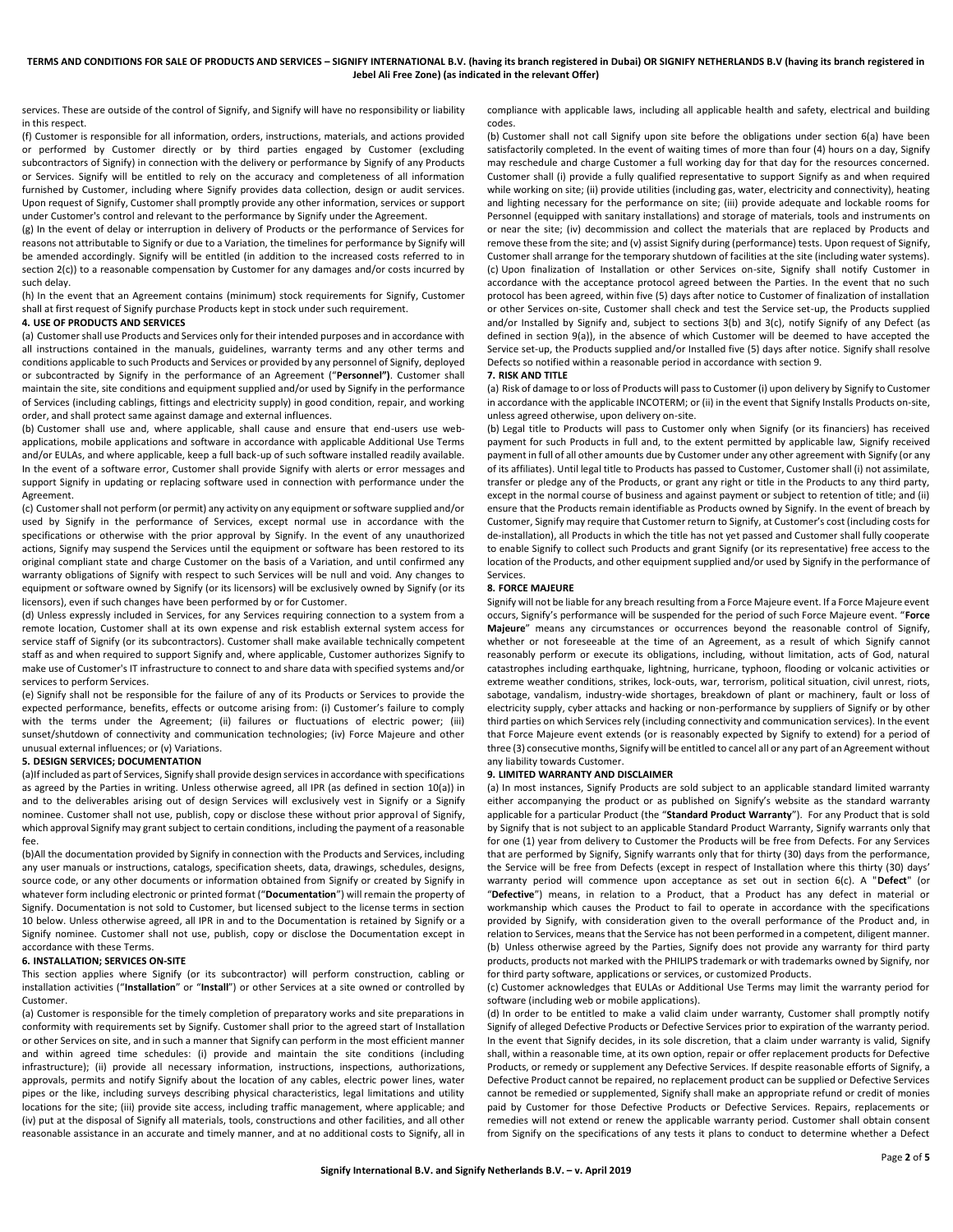services. These are outside of the control of Signify, and Signify will have no responsibility or liability in this respect.

(f) Customer is responsible for all information, orders, instructions, materials, and actions provided or performed by Customer directly or by third parties engaged by Customer (excluding subcontractors of Signify) in connection with the delivery or performance by Signify of any Products or Services. Signify will be entitled to rely on the accuracy and completeness of all information furnished by Customer, including where Signify provides data collection, design or audit services. Upon request of Signify, Customer shall promptly provide any other information, services or support under Customer's control and relevant to the performance by Signify under the Agreement.

(g) In the event of delay or interruption in delivery of Products or the performance of Services for reasons not attributable to Signify or due to a Variation, the timelines for performance by Signify will be amended accordingly. Signify will be entitled (in addition to the increased costs referred to in sectio[n 2](#page-0-0)[\(c\)\)](#page-0-1) to a reasonable compensation by Customer for any damages and/or costs incurred by such delay.

(h) In the event that an Agreement contains (minimum) stock requirements for Signify, Customer shall at first request of Signify purchase Products kept in stock under such requirement.

#### **4. USE OF PRODUCTS AND SERVICES**

(a) Customer shall use Products and Services only for their intended purposes and in accordance with all instructions contained in the manuals, guidelines, warranty terms and any other terms and conditions applicable to such Products and Services or provided by any personnel of Signify, deployed or subcontracted by Signify in the performance of an Agreement ("**Personnel")**. Customer shall maintain the site, site conditions and equipment supplied and/or used by Signify in the performance of Services (including cablings, fittings and electricity supply) in good condition, repair, and working order, and shall protect same against damage and external influences.

(b) Customer shall use and, where applicable, shall cause and ensure that end-users use webapplications, mobile applications and software in accordance with applicable Additional Use Terms and/or EULAs, and where applicable, keep a full back-up of such software installed readily available. In the event of a software error, Customer shall provide Signify with alerts or error messages and support Signify in updating or replacing software used in connection with performance under the Agreement.

(c) Customer shall not perform (or permit) any activity on any equipment or software supplied and/or used by Signify in the performance of Services, except normal use in accordance with the specifications or otherwise with the prior approval by Signify. In the event of any unauthorized actions, Signify may suspend the Services until the equipment or software has been restored to its original compliant state and charge Customer on the basis of a Variation, and until confirmed any warranty obligations of Signify with respect to such Services will be null and void. Any changes to equipment or software owned by Signify (or its licensors) will be exclusively owned by Signify (or its licensors), even if such changes have been performed by or for Customer.

(d) Unless expressly included in Services, for any Services requiring connection to a system from a remote location, Customer shall at its own expense and risk establish external system access for service staff of Signify (or its subcontractors). Customer shall make available technically competent staff as and when required to support Signify and, where applicable, Customer authorizes Signify to make use of Customer's IT infrastructure to connect to and share data with specified systems and/or services to perform Services.

(e) Signify shall not be responsible for the failure of any of its Products or Services to provide the expected performance, benefits, effects or outcome arising from: (i) Customer's failure to comply with the terms under the Agreement; (ii) failures or fluctuations of electric power; (iii) sunset/shutdown of connectivity and communication technologies; (iv) Force Majeure and other unusual external influences; or (v) Variations.

## **5. DESIGN SERVICES; DOCUMENTATION**

(a)If included as part of Services, Signify shall provide design services in accordance with specifications as agreed by the Parties in writing. Unless otherwise agreed, all IPR (as defined in section [10](#page-2-0)[\(a\)\)](#page-2-1) in and to the deliverables arising out of design Services will exclusively vest in Signify or a Signify nominee. Customer shall not use, publish, copy or disclose these without prior approval of Signify, which approval Signify may grant subject to certain conditions, including the payment of a reasonable fee.

(b)All the documentation provided by Signify in connection with the Products and Services, including any user manuals or instructions, catalogs, specification sheets, data, drawings, schedules, designs, source code, or any other documents or information obtained from Signify or created by Signify in whatever form including electronic or printed format ("**Documentation**") will remain the property of Signify. Documentation is not sold to Customer, but licensed subject to the license terms in section 10 below. Unless otherwise agreed, all IPR in and to the Documentation is retained by Signify or a Signify nominee. Customer shall not use, publish, copy or disclose the Documentation except in accordance with these Terms.

#### **6. INSTALLATION; SERVICES ON-SITE**

This section applies where Signify (or its subcontractor) will perform construction, cabling or installation activities ("**Installation**" or "**Install**") or other Services at a site owned or controlled by Customer.

(a) Customer is responsible for the timely completion of preparatory works and site preparations in conformity with requirements set by Signify. Customer shall prior to the agreed start of Installation or other Services on site, and in such a manner that Signify can perform in the most efficient manner and within agreed time schedules: (i) provide and maintain the site conditions (including infrastructure); (ii) provide all necessary information, instructions, inspections, authorizations, approvals, permits and notify Signify about the location of any cables, electric power lines, water pipes or the like, including surveys describing physical characteristics, legal limitations and utility locations for the site; (iii) provide site access, including traffic management, where applicable; and (iv) put at the disposal of Signify all materials, tools, constructions and other facilities, and all other reasonable assistance in an accurate and timely manner, and at no additional costs to Signify, all in compliance with applicable laws, including all applicable health and safety, electrical and building codes.

(b) Customer shall not call Signify upon site before the obligations under section 6(a) have been satisfactorily completed. In the event of waiting times of more than four (4) hours on a day, Signify may reschedule and charge Customer a full working day for that day for the resources concerned. Customer shall (i) provide a fully qualified representative to support Signify as and when required while working on site; (ii) provide utilities (including gas, water, electricity and connectivity), heating and lighting necessary for the performance on site; (iii) provide adequate and lockable rooms for Personnel (equipped with sanitary installations) and storage of materials, tools and instruments on or near the site; (iv) decommission and collect the materials that are replaced by Products and remove these from the site; and (v) assist Signify during (performance) tests. Upon request of Signify, Customer shall arrange for the temporary shutdown of facilities at the site (including water systems). (c) Upon finalization of Installation or other Services on-site, Signify shall notify Customer in accordance with the acceptance protocol agreed between the Parties. In the event that no such protocol has been agreed, within five (5) days after notice to Customer of finalization of installation or other Services on-site, Customer shall check and test the Service set-up, the Products supplied and/or Installed by Signify and, subject to sections 3(b) and 3(c), notify Signify of any Defect (as defined in section [9\(](#page-1-0)[a\)\)](#page-1-1), in the absence of which Customer will be deemed to have accepted the Service set-up, the Products supplied and/or Installed five (5) days after notice. Signify shall resolve Defects so notified within a reasonable period in accordance with sectio[n 9.](#page-1-0)

### **7. RISK AND TITLE**

(a) Risk of damage to or loss of Products will pass to Customer (i) upon delivery by Signify to Customer in accordance with the applicable INCOTERM; or (ii) in the event that Signify Installs Products on-site, unless agreed otherwise, upon delivery on-site.

(b) Legal title to Products will pass to Customer only when Signify (or its financiers) has received payment for such Products in full and, to the extent permitted by applicable law, Signify received payment in full of all other amounts due by Customer under any other agreement with Signify (or any of its affiliates). Until legal title to Products has passed to Customer, Customer shall (i) not assimilate, transfer or pledge any of the Products, or grant any right or title in the Products to any third party, except in the normal course of business and against payment or subject to retention of title; and (ii) ensure that the Products remain identifiable as Products owned by Signify. In the event of breach by Customer, Signify may require that Customer return to Signify, at Customer's cost (including costs for de-installation), all Products in which the title has not yet passed and Customer shall fully cooperate to enable Signify to collect such Products and grant Signify (or its representative) free access to the location of the Products, and other equipment supplied and/or used by Signify in the performance of Services.

#### **8. FORCE MAJEURE**

Signify will not be liable for any breach resulting from a Force Majeure event. If a Force Majeure event occurs, Signify's performance will be suspended for the period of such Force Majeure event. "**Force Majeure**" means any circumstances or occurrences beyond the reasonable control of Signify, whether or not foreseeable at the time of an Agreement, as a result of which Signify cannot reasonably perform or execute its obligations, including, without limitation, acts of God, natural catastrophes including earthquake, lightning, hurricane, typhoon, flooding or volcanic activities or extreme weather conditions, strikes, lock-outs, war, terrorism, political situation, civil unrest, riots, sabotage, vandalism, industry-wide shortages, breakdown of plant or machinery, fault or loss of electricity supply, cyber attacks and hacking or non-performance by suppliers of Signify or by other third parties on which Services rely (including connectivity and communication services). In the event that Force Majeure event extends (or is reasonably expected by Signify to extend) for a period of three (3) consecutive months, Signify will be entitled to cancel all or any part of an Agreement without any liability towards Customer.

#### <span id="page-1-0"></span>**9. LIMITED WARRANTY AND DISCLAIMER**

<span id="page-1-1"></span>(a) In most instances, Signify Products are sold subject to an applicable standard limited warranty either accompanying the product or as published on Signify's website as the standard warranty applicable for a particular Product (the "**Standard Product Warranty**"). For any Product that is sold by Signify that is not subject to an applicable Standard Product Warranty, Signify warrants only that for one (1) year from delivery to Customer the Products will be free from Defects. For any Services that are performed by Signify, Signify warrants only that for thirty (30) days from the performance, the Service will be free from Defects (except in respect of Installation where this thirty (30) days' warranty period will commence upon acceptance as set out in section 6(c). A "**Defect**" (or "**Defective**") means, in relation to a Product, that a Product has any defect in material or workmanship which causes the Product to fail to operate in accordance with the specifications provided by Signify, with consideration given to the overall performance of the Product and, in relation to Services, means that the Service has not been performed in a competent, diligent manner. (b) Unless otherwise agreed by the Parties, Signify does not provide any warranty for third party products, products not marked with the PHILIPS trademark or with trademarks owned by Signify, nor for third party software, applications or services, or customized Products.

(c) Customer acknowledges that EULAs or Additional Use Terms may limit the warranty period for software (including web or mobile applications).

(d) In order to be entitled to make a valid claim under warranty, Customer shall promptly notify Signify of alleged Defective Products or Defective Services prior to expiration of the warranty period. In the event that Signify decides, in its sole discretion, that a claim under warranty is valid, Signify shall, within a reasonable time, at its own option, repair or offer replacement products for Defective Products, or remedy or supplement any Defective Services. If despite reasonable efforts of Signify, a Defective Product cannot be repaired, no replacement product can be supplied or Defective Services cannot be remedied or supplemented, Signify shall make an appropriate refund or credit of monies paid by Customer for those Defective Products or Defective Services. Repairs, replacements or remedies will not extend or renew the applicable warranty period. Customer shall obtain consent from Signify on the specifications of any tests it plans to conduct to determine whether a Defect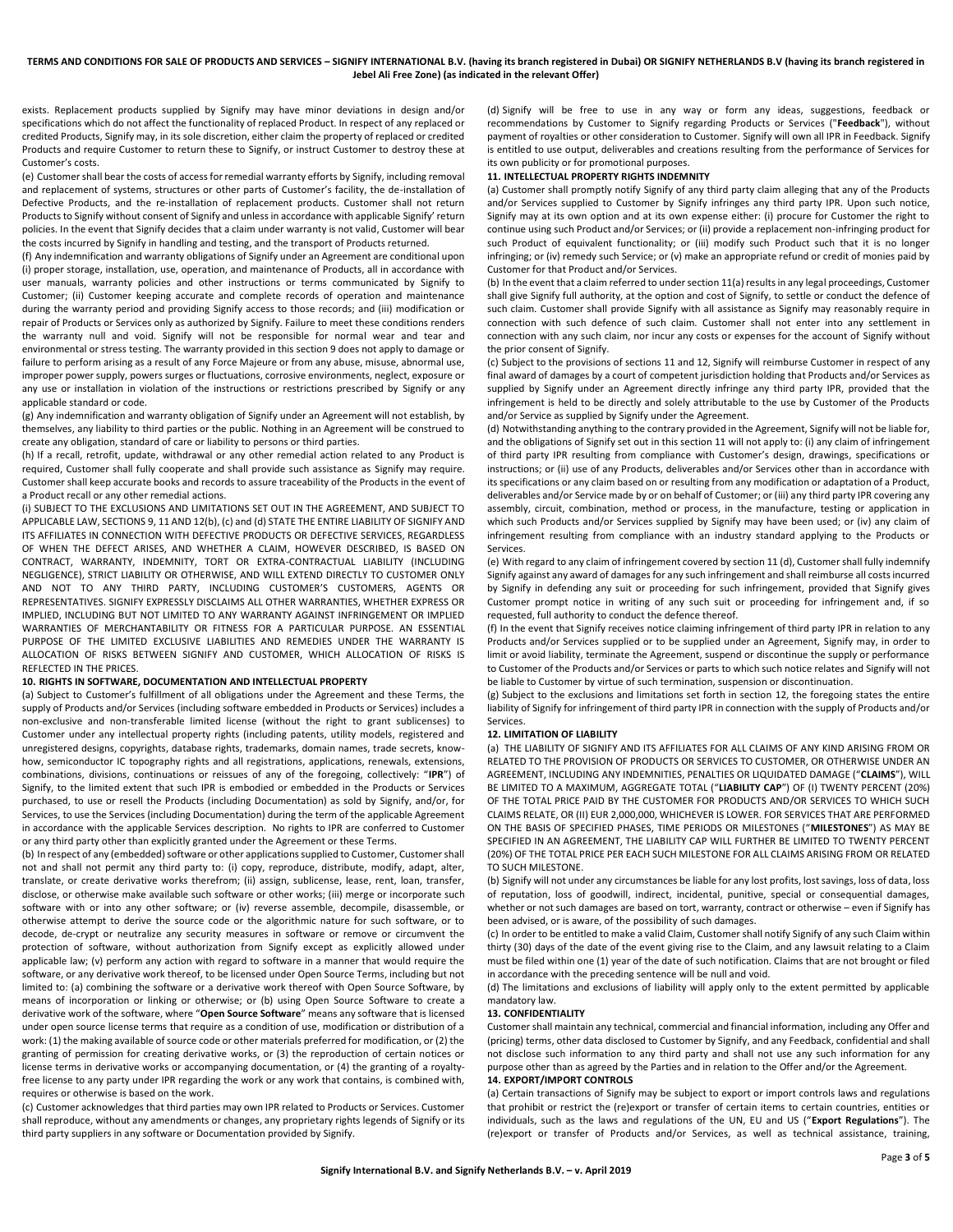exists. Replacement products supplied by Signify may have minor deviations in design and/or specifications which do not affect the functionality of replaced Product. In respect of any replaced or credited Products, Signify may, in its sole discretion, either claim the property of replaced or credited Products and require Customer to return these to Signify, or instruct Customer to destroy these at Customer's costs.

(e) Customer shall bear the costs of access for remedial warranty efforts by Signify, including removal and replacement of systems, structures or other parts of Customer's facility, the de-installation of Defective Products, and the re-installation of replacement products. Customer shall not return Products to Signify without consent of Signify and unless in accordance with applicable Signify' return policies. In the event that Signify decides that a claim under warranty is not valid, Customer will bear the costs incurred by Signify in handling and testing, and the transport of Products returned.

(f) Any indemnification and warranty obligations of Signify under an Agreement are conditional upon (i) proper storage, installation, use, operation, and maintenance of Products, all in accordance with user manuals, warranty policies and other instructions or terms communicated by Signify to Customer; (ii) Customer keeping accurate and complete records of operation and maintenance during the warranty period and providing Signify access to those records; and (iii) modification or repair of Products or Services only as authorized by Signify. Failure to meet these conditions renders the warranty null and void. Signify will not be responsible for normal wear and tear and environmental or stress testing. The warranty provided in this section 9 does not apply to damage or failure to perform arising as a result of any Force Majeure or from any abuse, misuse, abnormal use, improper power supply, powers surges or fluctuations, corrosive environments, neglect, exposure or any use or installation in violation of the instructions or restrictions prescribed by Signify or any applicable standard or code.

(g) Any indemnification and warranty obligation of Signify under an Agreement will not establish, by themselves, any liability to third parties or the public. Nothing in an Agreement will be construed to create any obligation, standard of care or liability to persons or third parties.

(h) If a recall, retrofit, update, withdrawal or any other remedial action related to any Product is required, Customer shall fully cooperate and shall provide such assistance as Signify may require. Customer shall keep accurate books and records to assure traceability of the Products in the event of a Product recall or any other remedial actions.

(i) SUBJECT TO THE EXCLUSIONS AND LIMITATIONS SET OUT IN THE AGREEMENT, AND SUBJECT TO APPLICABLE LAW, SECTION[S 9,](#page-1-0) 11 AN[D 12\(b](#page-2-2)), (c) and (d) STATE THE ENTIRE LIABILITY OF SIGNIFY AND ITS AFFILIATES IN CONNECTION WITH DEFECTIVE PRODUCTS OR DEFECTIVE SERVICES, REGARDLESS OF WHEN THE DEFECT ARISES, AND WHETHER A CLAIM, HOWEVER DESCRIBED, IS BASED ON CONTRACT, WARRANTY, INDEMNITY, TORT OR EXTRA-CONTRACTUAL LIABILITY (INCLUDING NEGLIGENCE), STRICT LIABILITY OR OTHERWISE, AND WILL EXTEND DIRECTLY TO CUSTOMER ONLY AND NOT TO ANY THIRD PARTY, INCLUDING CUSTOMER'S CUSTOMERS, AGENTS OR REPRESENTATIVES. SIGNIFY EXPRESSLY DISCLAIMS ALL OTHER WARRANTIES, WHETHER EXPRESS OR IMPLIED, INCLUDING BUT NOT LIMITED TO ANY WARRANTY AGAINST INFRINGEMENT OR IMPLIED WARRANTIES OF MERCHANTABILITY OR FITNESS FOR A PARTICULAR PURPOSE. AN ESSENTIAL PURPOSE OF THE LIMITED EXCLUSIVE LIABILITIES AND REMEDIES UNDER THE WARRANTY IS ALLOCATION OF RISKS BETWEEN SIGNIFY AND CUSTOMER, WHICH ALLOCATION OF RISKS IS REFLECTED IN THE PRICES.

#### <span id="page-2-0"></span>**10. RIGHTS IN SOFTWARE, DOCUMENTATION AND INTELLECTUAL PROPERTY**

<span id="page-2-1"></span>(a) Subject to Customer's fulfillment of all obligations under the Agreement and these Terms, the supply of Products and/or Services (including software embedded in Products or Services) includes a non-exclusive and non-transferable limited license (without the right to grant sublicenses) to Customer under any intellectual property rights (including patents, utility models, registered and unregistered designs, copyrights, database rights, trademarks, domain names, trade secrets, knowhow, semiconductor IC topography rights and all registrations, applications, renewals, extensions, combinations, divisions, continuations or reissues of any of the foregoing, collectively: "**IPR**") of Signify, to the limited extent that such IPR is embodied or embedded in the Products or Services purchased, to use or resell the Products (including Documentation) as sold by Signify, and/or, for Services, to use the Services (including Documentation) during the term of the applicable Agreement in accordance with the applicable Services description. No rights to IPR are conferred to Customer or any third party other than explicitly granted under the Agreement or these Terms.

(b) In respect of any (embedded) software or other applications supplied to Customer, Customer shall not and shall not permit any third party to: (i) copy, reproduce, distribute, modify, adapt, alter, translate, or create derivative works therefrom; (ii) assign, sublicense, lease, rent, loan, transfer, disclose, or otherwise make available such software or other works; (iii) merge or incorporate such software with or into any other software; or (iv) reverse assemble, decompile, disassemble, or otherwise attempt to derive the source code or the algorithmic nature for such software, or to decode, de-crypt or neutralize any security measures in software or remove or circumvent the protection of software, without authorization from Signify except as explicitly allowed under applicable law; (v) perform any action with regard to software in a manner that would require the software, or any derivative work thereof, to be licensed under Open Source Terms, including but not limited to: (a) combining the software or a derivative work thereof with Open Source Software, by means of incorporation or linking or otherwise; or (b) using Open Source Software to create a derivative work of the software, where "**Open Source Software**" means any software that is licensed under open source license terms that require as a condition of use, modification or distribution of a work: (1) the making available of source code or other materials preferred for modification, or (2) the granting of permission for creating derivative works, or (3) the reproduction of certain notices or license terms in derivative works or accompanying documentation, or (4) the granting of a royaltyfree license to any party under IPR regarding the work or any work that contains, is combined with, requires or otherwise is based on the work.

(c) Customer acknowledges that third parties may own IPR related to Products or Services. Customer shall reproduce, without any amendments or changes, any proprietary rights legends of Signify or its third party suppliers in any software or Documentation provided by Signify.

(d) Signify will be free to use in any way or form any ideas, suggestions, feedback or recommendations by Customer to Signify regarding Products or Services ("**Feedback**"), without payment of royalties or other consideration to Customer. Signify will own all IPR in Feedback. Signify is entitled to use output, deliverables and creations resulting from the performance of Services for its own publicity or for promotional purposes.

#### <span id="page-2-3"></span>**11. INTELLECTUAL PROPERTY RIGHTS INDEMNITY**

<span id="page-2-4"></span>(a) Customer shall promptly notify Signify of any third party claim alleging that any of the Products and/or Services supplied to Customer by Signify infringes any third party IPR. Upon such notice, Signify may at its own option and at its own expense either: (i) procure for Customer the right to continue using such Product and/or Services; or (ii) provide a replacement non-infringing product for such Product of equivalent functionality; or (iii) modify such Product such that it is no longer infringing; or (iv) remedy such Service; or (v) make an appropriate refund or credit of monies paid by Customer for that Product and/or Services.

(b) In the event that a claim referred to under sectio[n 11\(](#page-2-3)[a\)](#page-2-4) results in any legal proceedings, Customer shall give Signify full authority, at the option and cost of Signify, to settle or conduct the defence of such claim. Customer shall provide Signify with all assistance as Signify may reasonably require in connection with such defence of such claim. Customer shall not enter into any settlement in connection with any such claim, nor incur any costs or expenses for the account of Signify without the prior consent of Signify.

(c) Subject to the provisions of sections [11](#page-2-3) an[d 12,](#page-2-2) Signify will reimburse Customer in respect of any final award of damages by a court of competent jurisdiction holding that Products and/or Services as supplied by Signify under an Agreement directly infringe any third party IPR, provided that the infringement is held to be directly and solely attributable to the use by Customer of the Products and/or Service as supplied by Signify under the Agreement.

(d) Notwithstanding anything to the contrary provided in the Agreement, Signify will not be liable for, and the obligations of Signify set out in this sectio[n 11](#page-2-3) will not apply to: (i) any claim of infringement of third party IPR resulting from compliance with Customer's design, drawings, specifications or instructions; or (ii) use of any Products, deliverables and/or Services other than in accordance with its specifications or any claim based on or resulting from any modification or adaptation of a Product, deliverables and/or Service made by or on behalf of Customer; or (iii) any third party IPR covering any assembly, circuit, combination, method or process, in the manufacture, testing or application in which such Products and/or Services supplied by Signify may have been used; or (iv) any claim of infringement resulting from compliance with an industry standard applying to the Products or Services.

(e) With regard to any claim of infringement covered by section 11 (d), Customer shall fully indemnify Signify against any award of damages for any such infringement and shall reimburse all costs incurred by Signify in defending any suit or proceeding for such infringement, provided that Signify gives Customer prompt notice in writing of any such suit or proceeding for infringement and, if so requested, full authority to conduct the defence thereof.

(f) In the event that Signify receives notice claiming infringement of third party IPR in relation to any Products and/or Services supplied or to be supplied under an Agreement, Signify may, in order to limit or avoid liability, terminate the Agreement, suspend or discontinue the supply or performance to Customer of the Products and/or Services or parts to which such notice relates and Signify will not be liable to Customer by virtue of such termination, suspension or discontinuation.

(g) Subject to the exclusions and limitations set forth in sectio[n 12,](#page-2-2) the foregoing states the entire liability of Signify for infringement of third party IPR in connection with the supply of Products and/or Services.

### <span id="page-2-2"></span>**12. LIMITATION OF LIABILITY**

(a) THE LIABILITY OF SIGNIFY AND ITS AFFILIATES FOR ALL CLAIMS OF ANY KIND ARISING FROM OR RELATED TO THE PROVISION OF PRODUCTS OR SERVICES TO CUSTOMER, OR OTHERWISE UNDER AN AGREEMENT, INCLUDING ANY INDEMNITIES, PENALTIES OR LIQUIDATED DAMAGE ("**CLAIMS**"), WILL BE LIMITED TO A MAXIMUM, AGGREGATE TOTAL ("**LIABILITY CAP**") OF (I) TWENTY PERCENT (20%) OF THE TOTAL PRICE PAID BY THE CUSTOMER FOR PRODUCTS AND/OR SERVICES TO WHICH SUCH CLAIMS RELATE, OR (II) EUR 2,000,000, WHICHEVER IS LOWER. FOR SERVICES THAT ARE PERFORMED ON THE BASIS OF SPECIFIED PHASES, TIME PERIODS OR MILESTONES ("**MILESTONES**") AS MAY BE SPECIFIED IN AN AGREEMENT, THE LIABILITY CAP WILL FURTHER BE LIMITED TO TWENTY PERCENT (20%) OF THE TOTAL PRICE PER EACH SUCH MILESTONE FOR ALL CLAIMS ARISING FROM OR RELATED TO SUCH MILESTONE.

(b) Signify will not under any circumstances be liable for any lost profits, lost savings, loss of data, loss of reputation, loss of goodwill, indirect, incidental, punitive, special or consequential damages, whether or not such damages are based on tort, warranty, contract or otherwise – even if Signify has been advised, or is aware, of the possibility of such damages.

(c) In order to be entitled to make a valid Claim, Customer shall notify Signify of any such Claim within thirty (30) days of the date of the event giving rise to the Claim, and any lawsuit relating to a Claim must be filed within one (1) year of the date of such notification. Claims that are not brought or filed in accordance with the preceding sentence will be null and void.

(d) The limitations and exclusions of liability will apply only to the extent permitted by applicable mandatory law.

#### **13. CONFIDENTIALITY**

Customer shall maintain any technical, commercial and financial information, including any Offer and (pricing) terms, other data disclosed to Customer by Signify, and any Feedback, confidential and shall not disclose such information to any third party and shall not use any such information for any purpose other than as agreed by the Parties and in relation to the Offer and/or the Agreement. **14. EXPORT/IMPORT CONTROLS**

(a) Certain transactions of Signify may be subject to export or import controls laws and regulations that prohibit or restrict the (re)export or transfer of certain items to certain countries, entities or individuals, such as the laws and regulations of the UN, EU and US ("**Export Regulations**"). The (re)export or transfer of Products and/or Services, as well as technical assistance, training,